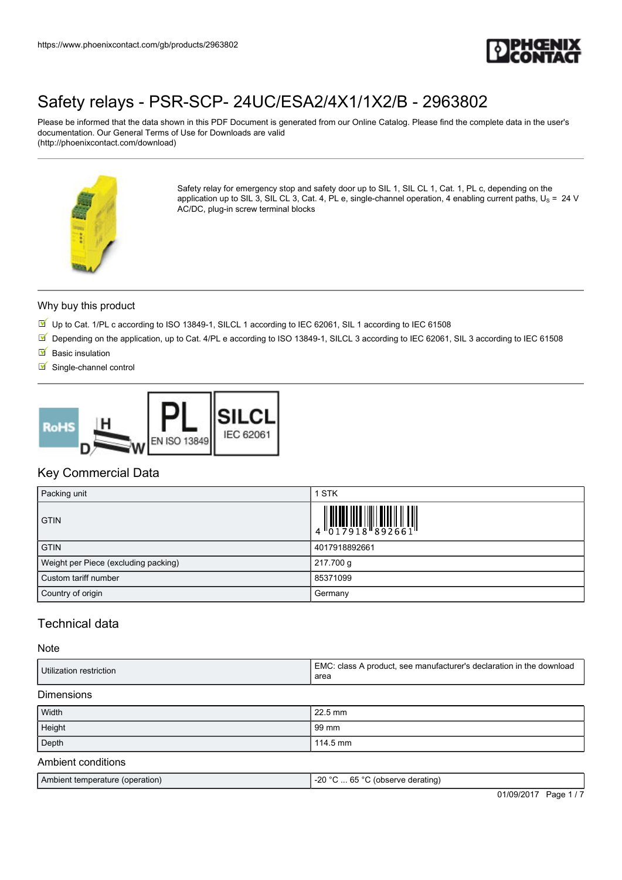

Please be informed that the data shown in this PDF Document is generated from our Online Catalog. Please find the complete data in the user's documentation. Our General Terms of Use for Downloads are valid (http://phoenixcontact.com/download)



Safety relay for emergency stop and safety door up to SIL 1, SIL CL 1, Cat. 1, PL c, depending on the application up to SIL 3, SIL CL 3, Cat. 4, PL e, single-channel operation, 4 enabling current paths,  $U_S = 24$  V AC/DC, plug-in screw terminal blocks

#### Why buy this product

- Up to Cat. 1/PL c according to ISO 13849-1, SILCL 1 according to IEC 62061, SIL 1 according to IEC 61508
- Depending on the application, up to Cat. 4/PL e according to ISO 13849-1, SILCL 3 according to IEC 62061, SIL 3 according to IEC 61508
- $\blacksquare$  Basic insulation
- $\blacksquare$  Single-channel control



## Key Commercial Data

| Packing unit                         | 1 STK                                                                                                      |
|--------------------------------------|------------------------------------------------------------------------------------------------------------|
| <b>GTIN</b>                          | $\begin{array}{c} 1 & 0 & 0 & 0 & 0 \\ 0 & 0 & 1 & 7 & 9 & 1 & 8 \\ 0 & 0 & 1 & 7 & 9 & 1 & 8 \end{array}$ |
| <b>GTIN</b>                          | 4017918892661                                                                                              |
| Weight per Piece (excluding packing) | 217.700 g                                                                                                  |
| Custom tariff number                 | 85371099                                                                                                   |
| Country of origin                    | Germany                                                                                                    |

## Technical data

#### Note

| Utilization restriction                                          | EMC: class A product, see manufacturer's declaration in the download<br>area |
|------------------------------------------------------------------|------------------------------------------------------------------------------|
| <b>Dimensions</b>                                                |                                                                              |
| Width                                                            | 22.5 mm                                                                      |
| Height                                                           | 99 mm                                                                        |
| Depth                                                            | 114.5 mm                                                                     |
| $\Lambda$ and $\Lambda$ is not as a set of $\Lambda$ is a set of |                                                                              |

#### Ambient conditions

| Ambient temperature (operation) | $-20$ °C  65 °C (observe derating) |            |          |
|---------------------------------|------------------------------------|------------|----------|
|                                 |                                    | 01/09/2017 | Page 1/7 |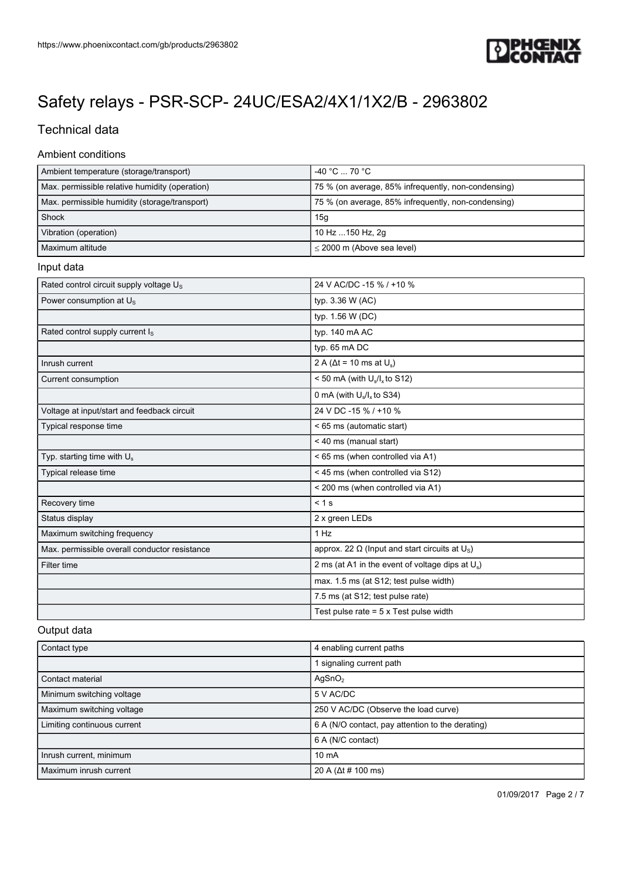

# Technical data

### Ambient conditions

| Ambient temperature (storage/transport)        | $-40 °C$ 70 $°C$                                    |
|------------------------------------------------|-----------------------------------------------------|
| Max. permissible relative humidity (operation) | 75 % (on average, 85% infrequently, non-condensing) |
| Max. permissible humidity (storage/transport)  | 75 % (on average, 85% infrequently, non-condensing) |
| Shock                                          | 15q                                                 |
| Vibration (operation)                          | 10 Hz 150 Hz, 2g                                    |
| Maximum altitude                               | $\leq$ 2000 m (Above sea level)                     |

### Input data

| Rated control circuit supply voltage $U_s$    | 24 V AC/DC -15 % / +10 %                                          |
|-----------------------------------------------|-------------------------------------------------------------------|
| Power consumption at U <sub>s</sub>           | typ. 3.36 W (AC)                                                  |
|                                               | typ. 1.56 W (DC)                                                  |
| Rated control supply current I <sub>s</sub>   | typ. 140 mA AC                                                    |
|                                               | typ. 65 mA DC                                                     |
| Inrush current                                | 2 A ( $\Delta t$ = 10 ms at $U_s$ )                               |
| Current consumption                           | < 50 mA (with $U_s/I_x$ to S12)                                   |
|                                               | 0 mA (with $U_s/I_x$ to S34)                                      |
| Voltage at input/start and feedback circuit   | 24 V DC -15 % / +10 %                                             |
| Typical response time                         | < 65 ms (automatic start)                                         |
|                                               | < 40 ms (manual start)                                            |
| Typ. starting time with $U_s$                 | < 65 ms (when controlled via A1)                                  |
| Typical release time                          | < 45 ms (when controlled via S12)                                 |
|                                               | < 200 ms (when controlled via A1)                                 |
| Recovery time                                 | $< 1$ s                                                           |
| Status display                                | 2 x green LEDs                                                    |
| Maximum switching frequency                   | 1 Hz                                                              |
| Max. permissible overall conductor resistance | approx. 22 $\Omega$ (Input and start circuits at U <sub>s</sub> ) |
| Filter time                                   | 2 ms (at A1 in the event of voltage dips at $U_s$ )               |
|                                               | max. 1.5 ms (at S12; test pulse width)                            |
|                                               | 7.5 ms (at S12; test pulse rate)                                  |
|                                               | Test pulse rate $= 5 \times$ Test pulse width                     |

### Output data

| Contact type                | 4 enabling current paths                         |
|-----------------------------|--------------------------------------------------|
|                             | signaling current path                           |
| Contact material            | AgSnO <sub>2</sub>                               |
| Minimum switching voltage   | 5 V AC/DC                                        |
| Maximum switching voltage   | 250 V AC/DC (Observe the load curve)             |
| Limiting continuous current | 6 A (N/O contact, pay attention to the derating) |
|                             | 6 A (N/C contact)                                |
| Inrush current, minimum     | $10 \text{ mA}$                                  |
| Maximum inrush current      | 20 A ( $\Delta t$ # 100 ms)                      |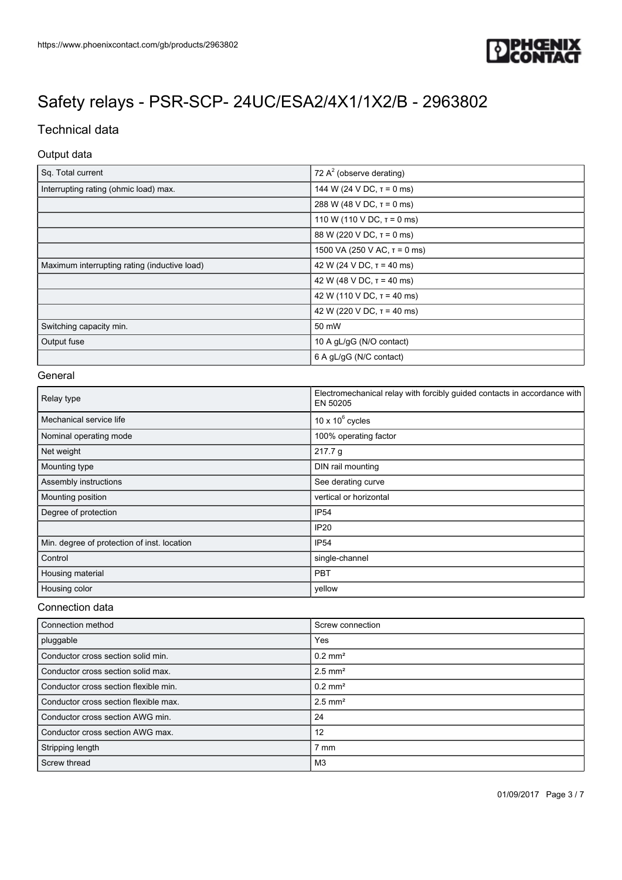

## Technical data

## Output data

| Sq. Total current                            | 72 $A2$ (observe derating)        |
|----------------------------------------------|-----------------------------------|
| Interrupting rating (ohmic load) max.        | 144 W (24 V DC, $\tau$ = 0 ms)    |
|                                              | 288 W (48 V DC, $T = 0$ ms)       |
|                                              | 110 W (110 V DC, $T = 0$ ms)      |
|                                              | 88 W (220 V DC, $\tau$ = 0 ms)    |
|                                              | 1500 VA (250 V AC, $\tau$ = 0 ms) |
| Maximum interrupting rating (inductive load) | 42 W (24 V DC, $\tau$ = 40 ms)    |
|                                              | 42 W (48 V DC, $\tau$ = 40 ms)    |
|                                              | 42 W (110 V DC, $\tau$ = 40 ms)   |
|                                              | 42 W (220 V DC, $\tau$ = 40 ms)   |
| Switching capacity min.                      | 50 mW                             |
| Output fuse                                  | 10 A gL/gG (N/O contact)          |
|                                              | 6 A gL/gG (N/C contact)           |

#### **General**

| Relay type                                  | Electromechanical relay with forcibly guided contacts in accordance with<br>EN 50205 |
|---------------------------------------------|--------------------------------------------------------------------------------------|
| Mechanical service life                     | 10 x $10^6$ cycles                                                                   |
| Nominal operating mode                      | 100% operating factor                                                                |
| Net weight                                  | 217.7 g                                                                              |
| Mounting type                               | DIN rail mounting                                                                    |
| Assembly instructions                       | See derating curve                                                                   |
| Mounting position                           | vertical or horizontal                                                               |
| Degree of protection                        | IP <sub>54</sub>                                                                     |
|                                             | IP <sub>20</sub>                                                                     |
| Min. degree of protection of inst. location | <b>IP54</b>                                                                          |
| Control                                     | single-channel                                                                       |
| Housing material                            | <b>PBT</b>                                                                           |
| Housing color                               | yellow                                                                               |

#### Connection data

| Connection method                     | Screw connection      |
|---------------------------------------|-----------------------|
| pluggable                             | Yes                   |
| Conductor cross section solid min.    | $0.2$ mm <sup>2</sup> |
| Conductor cross section solid max.    | $2.5$ mm <sup>2</sup> |
| Conductor cross section flexible min. | $0.2$ mm <sup>2</sup> |
| Conductor cross section flexible max. | $2.5$ mm <sup>2</sup> |
| Conductor cross section AWG min.      | 24                    |
| Conductor cross section AWG max.      | 12                    |
| Stripping length                      | 7 mm                  |
| Screw thread                          | M3                    |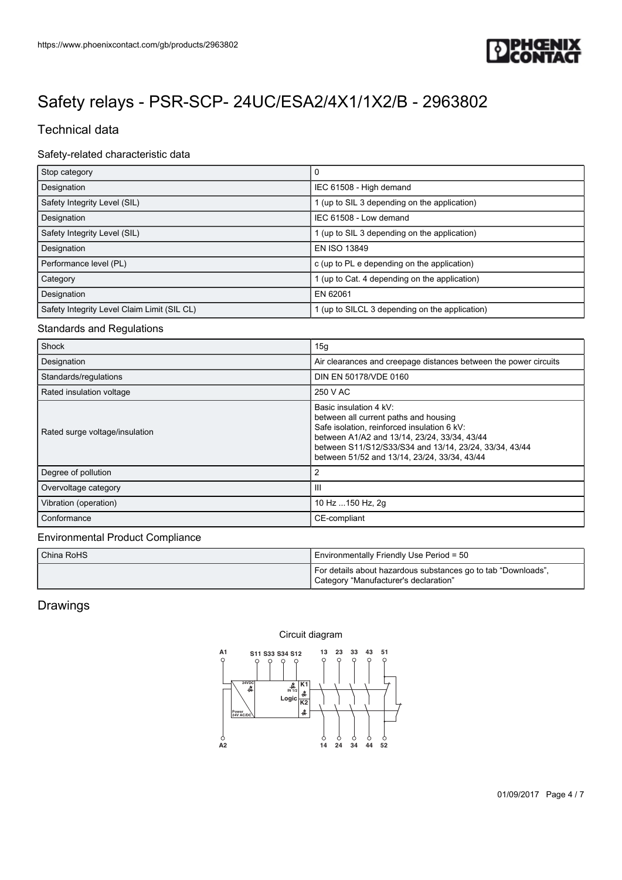

# Technical data

## Safety-related characteristic data

| Stop category                               | 0                                              |
|---------------------------------------------|------------------------------------------------|
| Designation                                 | IEC 61508 - High demand                        |
| Safety Integrity Level (SIL)                | 1 (up to SIL 3 depending on the application)   |
| Designation                                 | IEC 61508 - Low demand                         |
| Safety Integrity Level (SIL)                | 1 (up to SIL 3 depending on the application)   |
| Designation                                 | EN ISO 13849                                   |
| Performance level (PL)                      | c (up to PL e depending on the application)    |
| Category                                    | 1 (up to Cat. 4 depending on the application)  |
| Designation                                 | EN 62061                                       |
| Safety Integrity Level Claim Limit (SIL CL) | 1 (up to SILCL 3 depending on the application) |

### Standards and Regulations

| https://www.phoenixcontact.com/gb/products/2963802<br>Safety relays - PSR-SCP- 24UC/ESA2/4X1/1X2/B - 2963802<br><b>Technical data</b><br>Safety-related characteristic data<br>$\mathbf 0$<br>Stop category<br>Designation<br>IEC 61508 - High demand<br>Safety Integrity Level (SIL)<br>1 (up to SIL 3 depending on the application)<br>IEC 61508 - Low demand<br>Designation<br>Safety Integrity Level (SIL)<br>1 (up to SIL 3 depending on the application)<br>EN ISO 13849<br>Designation<br>Performance level (PL)<br>c (up to PL e depending on the application)<br>Category<br>1 (up to Cat. 4 depending on the application)<br>EN 62061<br>Designation<br>Safety Integrity Level Claim Limit (SIL CL)<br>1 (up to SILCL 3 depending on the application)<br>Shock<br>15g<br>Designation<br>Air clearances and creepage distances between the power circuits<br>DIN EN 50178/VDE 0160<br>Standards/regulations<br>250 V AC<br>Rated insulation voltage<br>Basic insulation 4 kV:<br>between all current paths and housing<br>Safe isolation, reinforced insulation 6 kV:<br>Rated surge voltage/insulation<br>between A1/A2 and 13/14, 23/24, 33/34, 43/44<br>between S11/S12/S33/S34 and 13/14, 23/24, 33/34, 43/44<br>between 51/52 and 13/14, 23/24, 33/34, 43/44<br>$\sqrt{2}$<br>Degree of pollution<br>$\ensuremath{\mathsf{III}}\xspace$<br>Overvoltage category<br>10 Hz  150 Hz, 2g<br>Vibration (operation)<br>CE-compliant<br>Conformance<br>China RoHS<br>Environmentally Friendly Use Period = 50<br>For details about hazardous substances go to tab "Downloads",<br>Category "Manufacturer's declaration"<br>Circuit diagram<br>A1<br>43<br>13<br>23 33<br>51<br>S11 S33 S34 S12<br>C<br>$24VDC$ $\frac{24VDC}{12V}$<br> K1 <br>$\begin{array}{c}\n\frac{M}{N}\\ \n\end{array}$<br>4<br>Logic<br>K <sub>2</sub><br>4<br>Power<br>24V AC/DC<br>$\frac{6}{42}$<br>Ô<br>$44 \quad 52$<br>$14 \quad 24$<br>34 |  |                       |
|--------------------------------------------------------------------------------------------------------------------------------------------------------------------------------------------------------------------------------------------------------------------------------------------------------------------------------------------------------------------------------------------------------------------------------------------------------------------------------------------------------------------------------------------------------------------------------------------------------------------------------------------------------------------------------------------------------------------------------------------------------------------------------------------------------------------------------------------------------------------------------------------------------------------------------------------------------------------------------------------------------------------------------------------------------------------------------------------------------------------------------------------------------------------------------------------------------------------------------------------------------------------------------------------------------------------------------------------------------------------------------------------------------------------------------------------------------------------------------------------------------------------------------------------------------------------------------------------------------------------------------------------------------------------------------------------------------------------------------------------------------------------------------------------------------------------------------------------------------------------------------------------------------------------------------|--|-----------------------|
|                                                                                                                                                                                                                                                                                                                                                                                                                                                                                                                                                                                                                                                                                                                                                                                                                                                                                                                                                                                                                                                                                                                                                                                                                                                                                                                                                                                                                                                                                                                                                                                                                                                                                                                                                                                                                                                                                                                                |  |                       |
|                                                                                                                                                                                                                                                                                                                                                                                                                                                                                                                                                                                                                                                                                                                                                                                                                                                                                                                                                                                                                                                                                                                                                                                                                                                                                                                                                                                                                                                                                                                                                                                                                                                                                                                                                                                                                                                                                                                                |  |                       |
|                                                                                                                                                                                                                                                                                                                                                                                                                                                                                                                                                                                                                                                                                                                                                                                                                                                                                                                                                                                                                                                                                                                                                                                                                                                                                                                                                                                                                                                                                                                                                                                                                                                                                                                                                                                                                                                                                                                                |  |                       |
|                                                                                                                                                                                                                                                                                                                                                                                                                                                                                                                                                                                                                                                                                                                                                                                                                                                                                                                                                                                                                                                                                                                                                                                                                                                                                                                                                                                                                                                                                                                                                                                                                                                                                                                                                                                                                                                                                                                                |  |                       |
|                                                                                                                                                                                                                                                                                                                                                                                                                                                                                                                                                                                                                                                                                                                                                                                                                                                                                                                                                                                                                                                                                                                                                                                                                                                                                                                                                                                                                                                                                                                                                                                                                                                                                                                                                                                                                                                                                                                                |  |                       |
|                                                                                                                                                                                                                                                                                                                                                                                                                                                                                                                                                                                                                                                                                                                                                                                                                                                                                                                                                                                                                                                                                                                                                                                                                                                                                                                                                                                                                                                                                                                                                                                                                                                                                                                                                                                                                                                                                                                                |  |                       |
|                                                                                                                                                                                                                                                                                                                                                                                                                                                                                                                                                                                                                                                                                                                                                                                                                                                                                                                                                                                                                                                                                                                                                                                                                                                                                                                                                                                                                                                                                                                                                                                                                                                                                                                                                                                                                                                                                                                                |  |                       |
|                                                                                                                                                                                                                                                                                                                                                                                                                                                                                                                                                                                                                                                                                                                                                                                                                                                                                                                                                                                                                                                                                                                                                                                                                                                                                                                                                                                                                                                                                                                                                                                                                                                                                                                                                                                                                                                                                                                                |  |                       |
|                                                                                                                                                                                                                                                                                                                                                                                                                                                                                                                                                                                                                                                                                                                                                                                                                                                                                                                                                                                                                                                                                                                                                                                                                                                                                                                                                                                                                                                                                                                                                                                                                                                                                                                                                                                                                                                                                                                                |  |                       |
| <b>Standards and Regulations</b><br><b>Environmental Product Compliance</b><br>Drawings                                                                                                                                                                                                                                                                                                                                                                                                                                                                                                                                                                                                                                                                                                                                                                                                                                                                                                                                                                                                                                                                                                                                                                                                                                                                                                                                                                                                                                                                                                                                                                                                                                                                                                                                                                                                                                        |  |                       |
|                                                                                                                                                                                                                                                                                                                                                                                                                                                                                                                                                                                                                                                                                                                                                                                                                                                                                                                                                                                                                                                                                                                                                                                                                                                                                                                                                                                                                                                                                                                                                                                                                                                                                                                                                                                                                                                                                                                                |  |                       |
|                                                                                                                                                                                                                                                                                                                                                                                                                                                                                                                                                                                                                                                                                                                                                                                                                                                                                                                                                                                                                                                                                                                                                                                                                                                                                                                                                                                                                                                                                                                                                                                                                                                                                                                                                                                                                                                                                                                                |  |                       |
|                                                                                                                                                                                                                                                                                                                                                                                                                                                                                                                                                                                                                                                                                                                                                                                                                                                                                                                                                                                                                                                                                                                                                                                                                                                                                                                                                                                                                                                                                                                                                                                                                                                                                                                                                                                                                                                                                                                                |  |                       |
|                                                                                                                                                                                                                                                                                                                                                                                                                                                                                                                                                                                                                                                                                                                                                                                                                                                                                                                                                                                                                                                                                                                                                                                                                                                                                                                                                                                                                                                                                                                                                                                                                                                                                                                                                                                                                                                                                                                                |  |                       |
|                                                                                                                                                                                                                                                                                                                                                                                                                                                                                                                                                                                                                                                                                                                                                                                                                                                                                                                                                                                                                                                                                                                                                                                                                                                                                                                                                                                                                                                                                                                                                                                                                                                                                                                                                                                                                                                                                                                                |  |                       |
|                                                                                                                                                                                                                                                                                                                                                                                                                                                                                                                                                                                                                                                                                                                                                                                                                                                                                                                                                                                                                                                                                                                                                                                                                                                                                                                                                                                                                                                                                                                                                                                                                                                                                                                                                                                                                                                                                                                                |  |                       |
|                                                                                                                                                                                                                                                                                                                                                                                                                                                                                                                                                                                                                                                                                                                                                                                                                                                                                                                                                                                                                                                                                                                                                                                                                                                                                                                                                                                                                                                                                                                                                                                                                                                                                                                                                                                                                                                                                                                                |  |                       |
|                                                                                                                                                                                                                                                                                                                                                                                                                                                                                                                                                                                                                                                                                                                                                                                                                                                                                                                                                                                                                                                                                                                                                                                                                                                                                                                                                                                                                                                                                                                                                                                                                                                                                                                                                                                                                                                                                                                                |  |                       |
|                                                                                                                                                                                                                                                                                                                                                                                                                                                                                                                                                                                                                                                                                                                                                                                                                                                                                                                                                                                                                                                                                                                                                                                                                                                                                                                                                                                                                                                                                                                                                                                                                                                                                                                                                                                                                                                                                                                                |  |                       |
|                                                                                                                                                                                                                                                                                                                                                                                                                                                                                                                                                                                                                                                                                                                                                                                                                                                                                                                                                                                                                                                                                                                                                                                                                                                                                                                                                                                                                                                                                                                                                                                                                                                                                                                                                                                                                                                                                                                                |  |                       |
|                                                                                                                                                                                                                                                                                                                                                                                                                                                                                                                                                                                                                                                                                                                                                                                                                                                                                                                                                                                                                                                                                                                                                                                                                                                                                                                                                                                                                                                                                                                                                                                                                                                                                                                                                                                                                                                                                                                                |  |                       |
|                                                                                                                                                                                                                                                                                                                                                                                                                                                                                                                                                                                                                                                                                                                                                                                                                                                                                                                                                                                                                                                                                                                                                                                                                                                                                                                                                                                                                                                                                                                                                                                                                                                                                                                                                                                                                                                                                                                                |  |                       |
|                                                                                                                                                                                                                                                                                                                                                                                                                                                                                                                                                                                                                                                                                                                                                                                                                                                                                                                                                                                                                                                                                                                                                                                                                                                                                                                                                                                                                                                                                                                                                                                                                                                                                                                                                                                                                                                                                                                                |  |                       |
|                                                                                                                                                                                                                                                                                                                                                                                                                                                                                                                                                                                                                                                                                                                                                                                                                                                                                                                                                                                                                                                                                                                                                                                                                                                                                                                                                                                                                                                                                                                                                                                                                                                                                                                                                                                                                                                                                                                                |  |                       |
|                                                                                                                                                                                                                                                                                                                                                                                                                                                                                                                                                                                                                                                                                                                                                                                                                                                                                                                                                                                                                                                                                                                                                                                                                                                                                                                                                                                                                                                                                                                                                                                                                                                                                                                                                                                                                                                                                                                                |  |                       |
|                                                                                                                                                                                                                                                                                                                                                                                                                                                                                                                                                                                                                                                                                                                                                                                                                                                                                                                                                                                                                                                                                                                                                                                                                                                                                                                                                                                                                                                                                                                                                                                                                                                                                                                                                                                                                                                                                                                                |  |                       |
|                                                                                                                                                                                                                                                                                                                                                                                                                                                                                                                                                                                                                                                                                                                                                                                                                                                                                                                                                                                                                                                                                                                                                                                                                                                                                                                                                                                                                                                                                                                                                                                                                                                                                                                                                                                                                                                                                                                                |  |                       |
|                                                                                                                                                                                                                                                                                                                                                                                                                                                                                                                                                                                                                                                                                                                                                                                                                                                                                                                                                                                                                                                                                                                                                                                                                                                                                                                                                                                                                                                                                                                                                                                                                                                                                                                                                                                                                                                                                                                                |  |                       |
|                                                                                                                                                                                                                                                                                                                                                                                                                                                                                                                                                                                                                                                                                                                                                                                                                                                                                                                                                                                                                                                                                                                                                                                                                                                                                                                                                                                                                                                                                                                                                                                                                                                                                                                                                                                                                                                                                                                                |  |                       |
|                                                                                                                                                                                                                                                                                                                                                                                                                                                                                                                                                                                                                                                                                                                                                                                                                                                                                                                                                                                                                                                                                                                                                                                                                                                                                                                                                                                                                                                                                                                                                                                                                                                                                                                                                                                                                                                                                                                                |  |                       |
|                                                                                                                                                                                                                                                                                                                                                                                                                                                                                                                                                                                                                                                                                                                                                                                                                                                                                                                                                                                                                                                                                                                                                                                                                                                                                                                                                                                                                                                                                                                                                                                                                                                                                                                                                                                                                                                                                                                                |  |                       |
|                                                                                                                                                                                                                                                                                                                                                                                                                                                                                                                                                                                                                                                                                                                                                                                                                                                                                                                                                                                                                                                                                                                                                                                                                                                                                                                                                                                                                                                                                                                                                                                                                                                                                                                                                                                                                                                                                                                                |  |                       |
|                                                                                                                                                                                                                                                                                                                                                                                                                                                                                                                                                                                                                                                                                                                                                                                                                                                                                                                                                                                                                                                                                                                                                                                                                                                                                                                                                                                                                                                                                                                                                                                                                                                                                                                                                                                                                                                                                                                                |  |                       |
|                                                                                                                                                                                                                                                                                                                                                                                                                                                                                                                                                                                                                                                                                                                                                                                                                                                                                                                                                                                                                                                                                                                                                                                                                                                                                                                                                                                                                                                                                                                                                                                                                                                                                                                                                                                                                                                                                                                                |  |                       |
|                                                                                                                                                                                                                                                                                                                                                                                                                                                                                                                                                                                                                                                                                                                                                                                                                                                                                                                                                                                                                                                                                                                                                                                                                                                                                                                                                                                                                                                                                                                                                                                                                                                                                                                                                                                                                                                                                                                                |  |                       |
|                                                                                                                                                                                                                                                                                                                                                                                                                                                                                                                                                                                                                                                                                                                                                                                                                                                                                                                                                                                                                                                                                                                                                                                                                                                                                                                                                                                                                                                                                                                                                                                                                                                                                                                                                                                                                                                                                                                                |  |                       |
|                                                                                                                                                                                                                                                                                                                                                                                                                                                                                                                                                                                                                                                                                                                                                                                                                                                                                                                                                                                                                                                                                                                                                                                                                                                                                                                                                                                                                                                                                                                                                                                                                                                                                                                                                                                                                                                                                                                                |  |                       |
|                                                                                                                                                                                                                                                                                                                                                                                                                                                                                                                                                                                                                                                                                                                                                                                                                                                                                                                                                                                                                                                                                                                                                                                                                                                                                                                                                                                                                                                                                                                                                                                                                                                                                                                                                                                                                                                                                                                                |  |                       |
|                                                                                                                                                                                                                                                                                                                                                                                                                                                                                                                                                                                                                                                                                                                                                                                                                                                                                                                                                                                                                                                                                                                                                                                                                                                                                                                                                                                                                                                                                                                                                                                                                                                                                                                                                                                                                                                                                                                                |  |                       |
|                                                                                                                                                                                                                                                                                                                                                                                                                                                                                                                                                                                                                                                                                                                                                                                                                                                                                                                                                                                                                                                                                                                                                                                                                                                                                                                                                                                                                                                                                                                                                                                                                                                                                                                                                                                                                                                                                                                                |  |                       |
|                                                                                                                                                                                                                                                                                                                                                                                                                                                                                                                                                                                                                                                                                                                                                                                                                                                                                                                                                                                                                                                                                                                                                                                                                                                                                                                                                                                                                                                                                                                                                                                                                                                                                                                                                                                                                                                                                                                                |  |                       |
|                                                                                                                                                                                                                                                                                                                                                                                                                                                                                                                                                                                                                                                                                                                                                                                                                                                                                                                                                                                                                                                                                                                                                                                                                                                                                                                                                                                                                                                                                                                                                                                                                                                                                                                                                                                                                                                                                                                                |  | 01/09/2017 Page 4 / 7 |
|                                                                                                                                                                                                                                                                                                                                                                                                                                                                                                                                                                                                                                                                                                                                                                                                                                                                                                                                                                                                                                                                                                                                                                                                                                                                                                                                                                                                                                                                                                                                                                                                                                                                                                                                                                                                                                                                                                                                |  |                       |
|                                                                                                                                                                                                                                                                                                                                                                                                                                                                                                                                                                                                                                                                                                                                                                                                                                                                                                                                                                                                                                                                                                                                                                                                                                                                                                                                                                                                                                                                                                                                                                                                                                                                                                                                                                                                                                                                                                                                |  |                       |
|                                                                                                                                                                                                                                                                                                                                                                                                                                                                                                                                                                                                                                                                                                                                                                                                                                                                                                                                                                                                                                                                                                                                                                                                                                                                                                                                                                                                                                                                                                                                                                                                                                                                                                                                                                                                                                                                                                                                |  |                       |
|                                                                                                                                                                                                                                                                                                                                                                                                                                                                                                                                                                                                                                                                                                                                                                                                                                                                                                                                                                                                                                                                                                                                                                                                                                                                                                                                                                                                                                                                                                                                                                                                                                                                                                                                                                                                                                                                                                                                |  |                       |

### Environmental Product Compliance

| China RoHS | Environmentally Friendly Use Period = 50                                                               |
|------------|--------------------------------------------------------------------------------------------------------|
|            | For details about hazardous substances go to tab "Downloads",<br>Category "Manufacturer's declaration" |

# Drawings



### Circuit diagram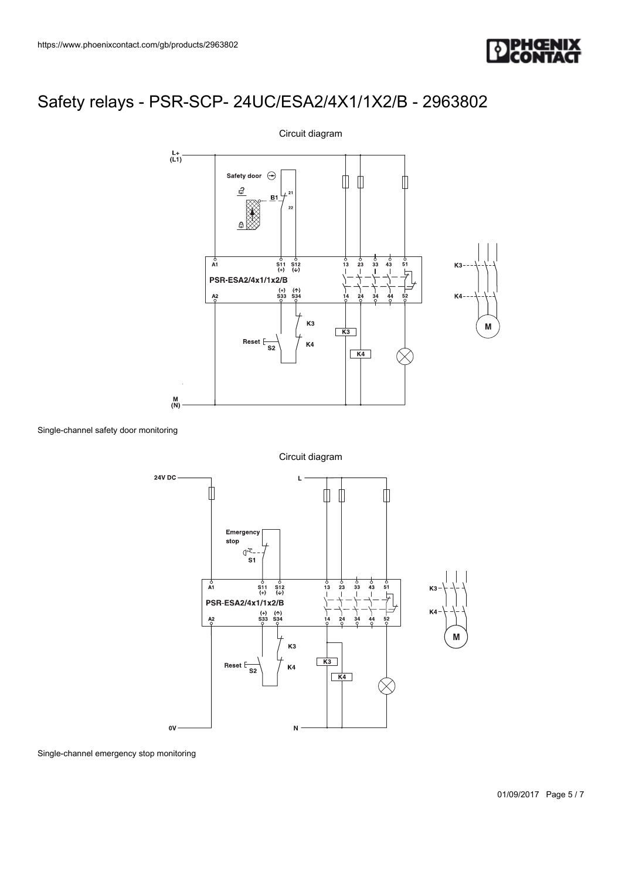



Single-channel safety door monitoring

Circuit diagram



Single-channel emergency stop monitoring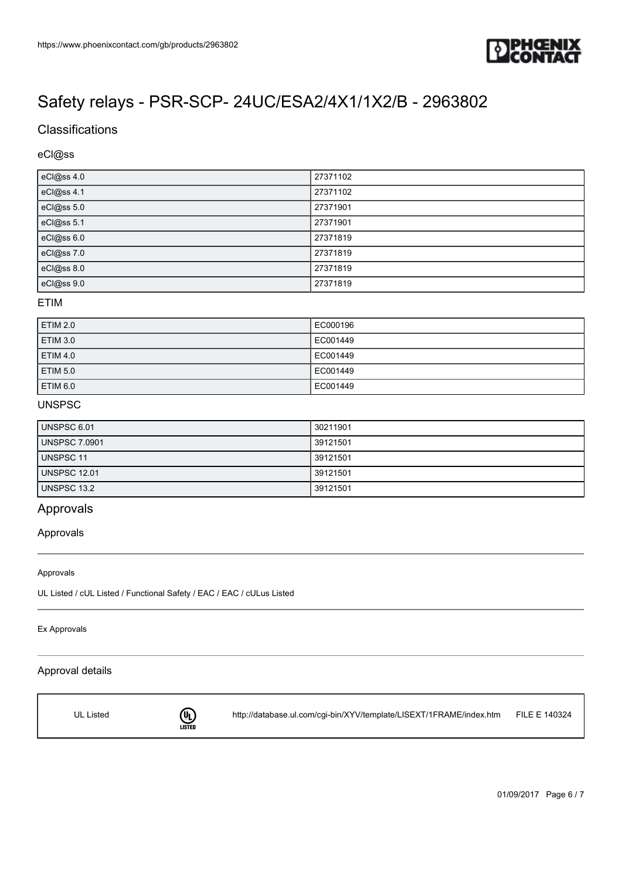

## **Classifications**

## eCl@ss

| eCl@ss 4.0 | 27371102 |
|------------|----------|
| eCl@ss 4.1 | 27371102 |
| eCl@ss 5.0 | 27371901 |
| eCl@ss 5.1 | 27371901 |
| eCl@ss 6.0 | 27371819 |
| eCl@ss 7.0 | 27371819 |
| eCl@ss 8.0 | 27371819 |
| eCl@ss 9.0 | 27371819 |

#### ETIM

| <b>ETIM 2.0</b> | EC000196 |
|-----------------|----------|
| <b>ETIM 3.0</b> | EC001449 |
| <b>ETIM 4.0</b> | EC001449 |
| <b>ETIM 5.0</b> | EC001449 |
| <b>ETIM 6.0</b> | EC001449 |

### UNSPSC

| UNSPSC 6.01          | 30211901 |
|----------------------|----------|
| <b>UNSPSC 7.0901</b> | 39121501 |
| UNSPSC 11            | 39121501 |
| <b>UNSPSC 12.01</b>  | 39121501 |
| UNSPSC 13.2          | 39121501 |

## Approvals

#### Approvals

#### Approvals

UL Listed / cUL Listed / Functional Safety / EAC / EAC / cULus Listed

#### Ex Approvals

### Approval details



<http://database.ul.com/cgi-bin/XYV/template/LISEXT/1FRAME/index.htm> FILE E 140324